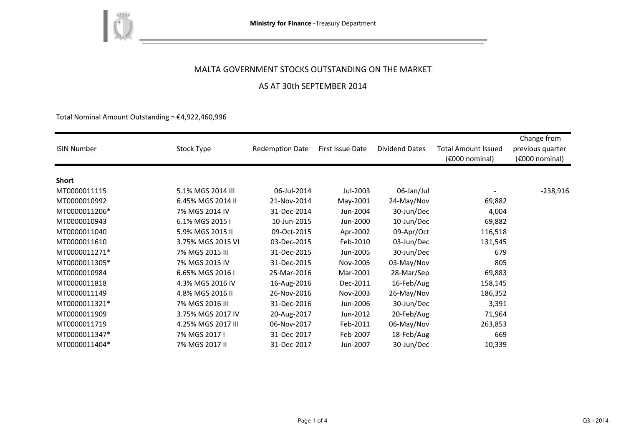

### MALTA GOVERNMENT STOCKS OUTSTANDING ON THE MARKET

## AS AT 30th SEPTEMBER 2014

Total Nominal Amount Outstanding =  $£4,922,460,996$ 

| <b>ISIN Number</b> | Stock Type         | <b>Redemption Date</b> | First Issue Date | <b>Dividend Dates</b> | <b>Total Amount Issued</b><br>$(6000)$ nominal) | Change from<br>previous quarter<br>(€000 nominal) |
|--------------------|--------------------|------------------------|------------------|-----------------------|-------------------------------------------------|---------------------------------------------------|
|                    |                    |                        |                  |                       |                                                 |                                                   |
| <b>Short</b>       |                    |                        |                  |                       |                                                 |                                                   |
| MT0000011115       | 5.1% MGS 2014 III  | 06-Jul-2014            | Jul-2003         | 06-Jan/Jul            |                                                 | $-238,916$                                        |
| MT0000010992       | 6.45% MGS 2014 II  | 21-Nov-2014            | May-2001         | 24-May/Nov            | 69,882                                          |                                                   |
| MT0000011206*      | 7% MGS 2014 IV     | 31-Dec-2014            | Jun-2004         | 30-Jun/Dec            | 4,004                                           |                                                   |
| MT0000010943       | 6.1% MGS 2015 I    | 10-Jun-2015            | Jun-2000         | 10-Jun/Dec            | 69,882                                          |                                                   |
| MT0000011040       | 5.9% MGS 2015 II   | 09-Oct-2015            | Apr-2002         | 09-Apr/Oct            | 116,518                                         |                                                   |
| MT0000011610       | 3.75% MGS 2015 VI  | 03-Dec-2015            | Feb-2010         | 03-Jun/Dec            | 131,545                                         |                                                   |
| MT0000011271*      | 7% MGS 2015 III    | 31-Dec-2015            | Jun-2005         | 30-Jun/Dec            | 679                                             |                                                   |
| MT0000011305*      | 7% MGS 2015 IV     | 31-Dec-2015            | Nov-2005         | 03-May/Nov            | 805                                             |                                                   |
| MT0000010984       | 6.65% MGS 2016 I   | 25-Mar-2016            | Mar-2001         | 28-Mar/Sep            | 69,883                                          |                                                   |
| MT0000011818       | 4.3% MGS 2016 IV   | 16-Aug-2016            | Dec-2011         | 16-Feb/Aug            | 158,145                                         |                                                   |
| MT0000011149       | 4.8% MGS 2016 II   | 26-Nov-2016            | Nov-2003         | 26-May/Nov            | 186,352                                         |                                                   |
| MT0000011321*      | 7% MGS 2016 III    | 31-Dec-2016            | Jun-2006         | 30-Jun/Dec            | 3,391                                           |                                                   |
| MT0000011909       | 3.75% MGS 2017 IV  | 20-Aug-2017            | Jun-2012         | 20-Feb/Aug            | 71,964                                          |                                                   |
| MT0000011719       | 4.25% MGS 2017 III | 06-Nov-2017            | Feb-2011         | 06-May/Nov            | 263,853                                         |                                                   |
| MT0000011347*      | 7% MGS 2017 I      | 31-Dec-2017            | Feb-2007         | 18-Feb/Aug            | 669                                             |                                                   |
| MT0000011404*      | 7% MGS 2017 II     | 31-Dec-2017            | Jun-2007         | 30-Jun/Dec            | 10,339                                          |                                                   |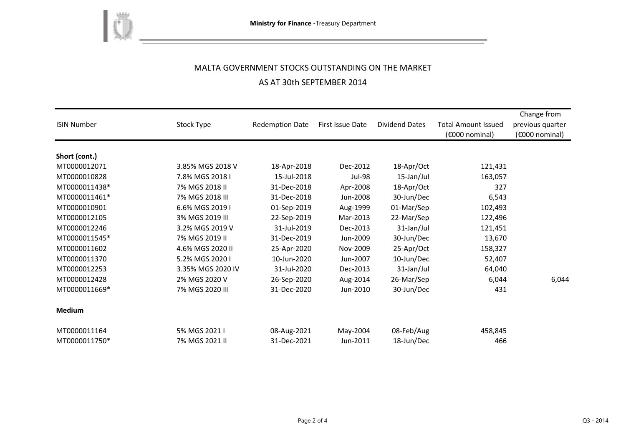

# MALTA GOVERNMENT STOCKS OUTSTANDING ON THE MARKET

# AS AT 30th SEPTEMBER 2014

| <b>ISIN Number</b> | Stock Type        | <b>Redemption Date</b> | First Issue Date | <b>Dividend Dates</b> | <b>Total Amount Issued</b><br>(€000 nominal) | Change from<br>previous quarter<br>$(6000)$ nominal) |
|--------------------|-------------------|------------------------|------------------|-----------------------|----------------------------------------------|------------------------------------------------------|
| Short (cont.)      |                   |                        |                  |                       |                                              |                                                      |
| MT0000012071       | 3.85% MGS 2018 V  | 18-Apr-2018            | Dec-2012         | 18-Apr/Oct            | 121,431                                      |                                                      |
| MT0000010828       | 7.8% MGS 2018 I   | 15-Jul-2018            | <b>Jul-98</b>    | 15-Jan/Jul            | 163,057                                      |                                                      |
| MT0000011438*      | 7% MGS 2018 II    | 31-Dec-2018            | Apr-2008         | 18-Apr/Oct            | 327                                          |                                                      |
| MT0000011461*      | 7% MGS 2018 III   | 31-Dec-2018            | Jun-2008         | 30-Jun/Dec            | 6,543                                        |                                                      |
| MT0000010901       | 6.6% MGS 2019 I   | 01-Sep-2019            | Aug-1999         | 01-Mar/Sep            | 102,493                                      |                                                      |
| MT0000012105       | 3% MGS 2019 III   | 22-Sep-2019            | Mar-2013         | 22-Mar/Sep            | 122,496                                      |                                                      |
| MT0000012246       | 3.2% MGS 2019 V   | 31-Jul-2019            | Dec-2013         | 31-Jan/Jul            | 121,451                                      |                                                      |
| MT0000011545*      | 7% MGS 2019 II    | 31-Dec-2019            | Jun-2009         | 30-Jun/Dec            | 13,670                                       |                                                      |
| MT0000011602       | 4.6% MGS 2020 II  | 25-Apr-2020            | Nov-2009         | 25-Apr/Oct            | 158,327                                      |                                                      |
| MT0000011370       | 5.2% MGS 2020 I   | 10-Jun-2020            | Jun-2007         | 10-Jun/Dec            | 52,407                                       |                                                      |
| MT0000012253       | 3.35% MGS 2020 IV | 31-Jul-2020            | Dec-2013         | 31-Jan/Jul            | 64,040                                       |                                                      |
| MT0000012428       | 2% MGS 2020 V     | 26-Sep-2020            | Aug-2014         | 26-Mar/Sep            | 6,044                                        | 6,044                                                |
| MT0000011669*      | 7% MGS 2020 III   | 31-Dec-2020            | Jun-2010         | 30-Jun/Dec            | 431                                          |                                                      |
| <b>Medium</b>      |                   |                        |                  |                       |                                              |                                                      |
| MT0000011164       | 5% MGS 2021 I     | 08-Aug-2021            | May-2004         | 08-Feb/Aug            | 458,845                                      |                                                      |
| MT0000011750*      | 7% MGS 2021 II    | 31-Dec-2021            | Jun-2011         | 18-Jun/Dec            | 466                                          |                                                      |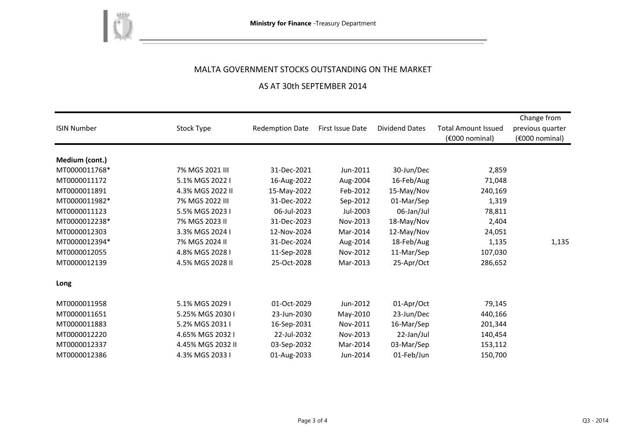

# MALTA GOVERNMENT STOCKS OUTSTANDING ON THE MARKET

## AS AT 30th SEPTEMBER 2014

| <b>ISIN Number</b> | Stock Type        | <b>Redemption Date</b> | First Issue Date | <b>Dividend Dates</b> | <b>Total Amount Issued</b><br>(€000 nominal) | Change from<br>previous quarter<br>(€000 nominal) |
|--------------------|-------------------|------------------------|------------------|-----------------------|----------------------------------------------|---------------------------------------------------|
| Medium (cont.)     |                   |                        |                  |                       |                                              |                                                   |
| MT0000011768*      | 7% MGS 2021 III   | 31-Dec-2021            | Jun-2011         | 30-Jun/Dec            | 2,859                                        |                                                   |
| MT0000011172       | 5.1% MGS 2022 I   | 16-Aug-2022            | Aug-2004         | 16-Feb/Aug            | 71,048                                       |                                                   |
| MT0000011891       | 4.3% MGS 2022 II  | 15-May-2022            | Feb-2012         | 15-May/Nov            | 240,169                                      |                                                   |
| MT0000011982*      | 7% MGS 2022 III   | 31-Dec-2022            | Sep-2012         | 01-Mar/Sep            | 1,319                                        |                                                   |
| MT0000011123       | 5.5% MGS 2023 I   | 06-Jul-2023            | Jul-2003         | 06-Jan/Jul            | 78,811                                       |                                                   |
| MT0000012238*      | 7% MGS 2023 II    | 31-Dec-2023            | Nov-2013         | 18-May/Nov            | 2,404                                        |                                                   |
| MT0000012303       | 3.3% MGS 2024 I   | 12-Nov-2024            | Mar-2014         | 12-May/Nov            | 24,051                                       |                                                   |
| MT0000012394*      | 7% MGS 2024 II    | 31-Dec-2024            | Aug-2014         | 18-Feb/Aug            | 1,135                                        | 1,135                                             |
| MT0000012055       | 4.8% MGS 2028 I   | 11-Sep-2028            | Nov-2012         | 11-Mar/Sep            | 107,030                                      |                                                   |
| MT0000012139       | 4.5% MGS 2028 II  | 25-Oct-2028            | Mar-2013         | 25-Apr/Oct            | 286,652                                      |                                                   |
| Long               |                   |                        |                  |                       |                                              |                                                   |
| MT0000011958       | 5.1% MGS 2029 I   | 01-Oct-2029            | Jun-2012         | 01-Apr/Oct            | 79,145                                       |                                                   |
| MT0000011651       | 5.25% MGS 2030 I  | 23-Jun-2030            | May-2010         | 23-Jun/Dec            | 440,166                                      |                                                   |
| MT0000011883       | 5.2% MGS 2031 I   | 16-Sep-2031            | Nov-2011         | 16-Mar/Sep            | 201,344                                      |                                                   |
| MT0000012220       | 4.65% MGS 2032 I  | 22-Jul-2032            | Nov-2013         | 22-Jan/Jul            | 140,454                                      |                                                   |
| MT0000012337       | 4.45% MGS 2032 II | 03-Sep-2032            | Mar-2014         | 03-Mar/Sep            | 153,112                                      |                                                   |
| MT0000012386       | 4.3% MGS 2033 I   | 01-Aug-2033            | Jun-2014         | 01-Feb/Jun            | 150,700                                      |                                                   |